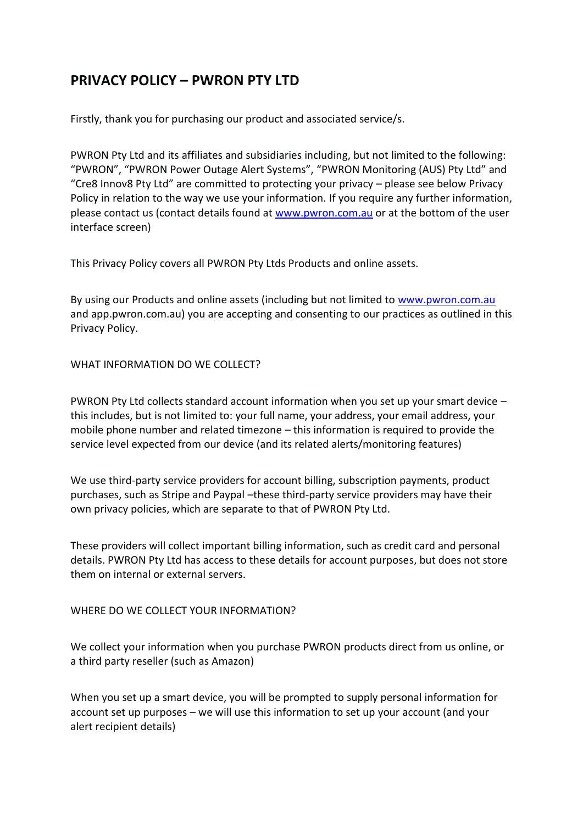# **PRIVACY POLICY – PWRON PTY LTD**

Firstly, thank you for purchasing our product and associated service/s.

PWRON Pty Ltd and its affiliates and subsidiaries including, but not limited to the following: "PWRON", "PWRON Power Outage Alert Systems", "PWRON Monitoring (AUS) Pty Ltd" and "Cre8 Innov8 Pty Ltd" are committed to protecting your privacy – please see below Privacy Policy in relation to the way we use your information. If you require any further information, please contact us (contact details found at [www.pwron.com.au](http://www.pwron.com.au/) or at the bottom of the user interface screen)

This Privacy Policy covers all PWRON Pty Ltds Products and online assets.

By using our Products and online assets (including but not limited to [www.pwron.com.au](http://www.pwron.com.au/) and app.pwron.com.au) you are accepting and consenting to our practices as outlined in this Privacy Policy.

## WHAT INFORMATION DO WE COLLECT?

PWRON Pty Ltd collects standard account information when you set up your smart device – this includes, but is not limited to: your full name, your address, your email address, your mobile phone number and related timezone – this information is required to provide the service level expected from our device (and its related alerts/monitoring features)

We use third-party service providers for account billing, subscription payments, product purchases, such as Stripe and Paypal –these third-party service providers may have their own privacy policies, which are separate to that of PWRON Pty Ltd.

These providers will collect important billing information, such as credit card and personal details. PWRON Pty Ltd has access to these details for account purposes, but does not store them on internal or external servers.

## WHERE DO WE COLLECT YOUR INFORMATION?

We collect your information when you purchase PWRON products direct from us online, or a third party reseller (such as Amazon)

When you set up a smart device, you will be prompted to supply personal information for account set up purposes – we will use this information to set up your account (and your alert recipient details)